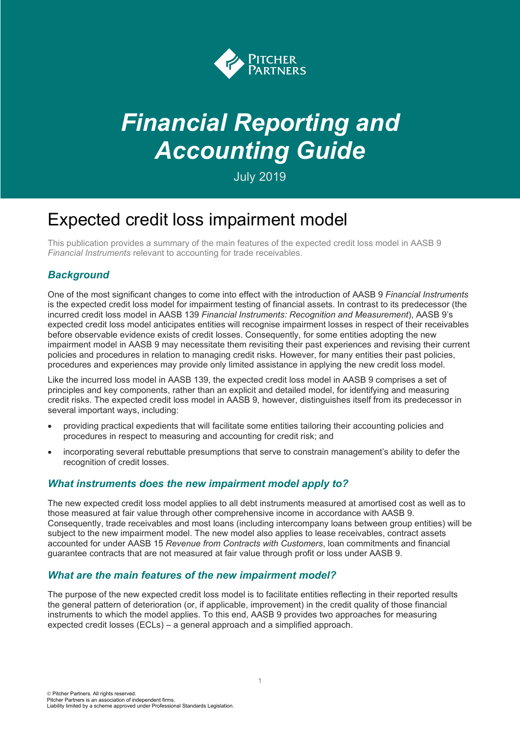

# *Financial Reporting and Accounting Guide*

July 2019

# Expected credit loss impairment model

This publication provides a summary of the main features of the expected credit loss model in AASB 9 *Financial Instruments* relevant to accounting for trade receivables.

## *Background*

One of the most significant changes to come into effect with the introduction of AASB 9 *Financial Instruments* is the expected credit loss model for impairment testing of financial assets. In contrast to its predecessor (the incurred credit loss model in AASB 139 *Financial Instruments: Recognition and Measurement*), AASB 9's expected credit loss model anticipates entities will recognise impairment losses in respect of their receivables before observable evidence exists of credit losses. Consequently, for some entities adopting the new impairment model in AASB 9 may necessitate them revisiting their past experiences and revising their current policies and procedures in relation to managing credit risks. However, for many entities their past policies, procedures and experiences may provide only limited assistance in applying the new credit loss model.

Like the incurred loss model in AASB 139, the expected credit loss model in AASB 9 comprises a set of principles and key components, rather than an explicit and detailed model, for identifying and measuring credit risks. The expected credit loss model in AASB 9, however, distinguishes itself from its predecessor in several important ways, including:

- providing practical expedients that will facilitate some entities tailoring their accounting policies and procedures in respect to measuring and accounting for credit risk; and
- incorporating several rebuttable presumptions that serve to constrain management's ability to defer the recognition of credit losses.

#### *What instruments does the new impairment model apply to?*

The new expected credit loss model applies to all debt instruments measured at amortised cost as well as to those measured at fair value through other comprehensive income in accordance with AASB 9. Consequently, trade receivables and most loans (including intercompany loans between group entities) will be subject to the new impairment model. The new model also applies to lease receivables, contract assets accounted for under AASB 15 *Revenue from Contracts with Customers*, loan commitments and financial guarantee contracts that are not measured at fair value through profit or loss under AASB 9.

#### *What are the main features of the new impairment model?*

The purpose of the new expected credit loss model is to facilitate entities reflecting in their reported results the general pattern of deterioration (or, if applicable, improvement) in the credit quality of those financial instruments to which the model applies. To this end, AASB 9 provides two approaches for measuring expected credit losses (ECLs) – a general approach and a simplified approach.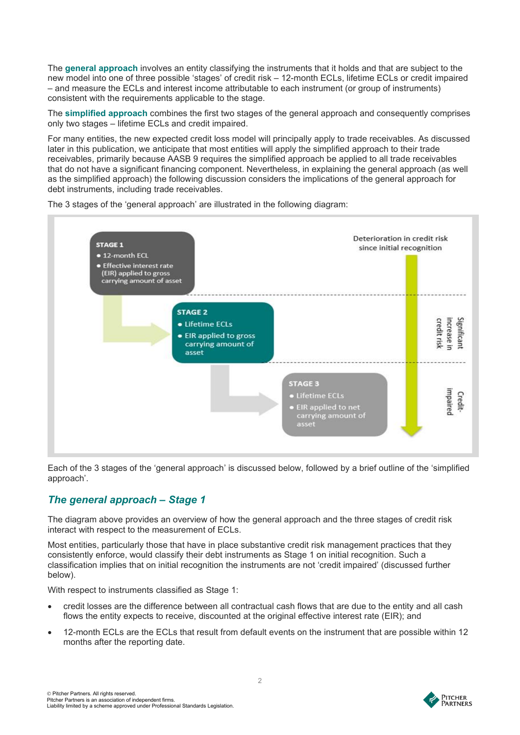The **general approach** involves an entity classifying the instruments that it holds and that are subject to the new model into one of three possible 'stages' of credit risk – 12-month ECLs, lifetime ECLs or credit impaired – and measure the ECLs and interest income attributable to each instrument (or group of instruments) consistent with the requirements applicable to the stage.

The **simplified approach** combines the first two stages of the general approach and consequently comprises only two stages – lifetime ECLs and credit impaired.

For many entities, the new expected credit loss model will principally apply to trade receivables. As discussed later in this publication, we anticipate that most entities will apply the simplified approach to their trade receivables, primarily because AASB 9 requires the simplified approach be applied to all trade receivables that do not have a significant financing component. Nevertheless, in explaining the general approach (as well as the simplified approach) the following discussion considers the implications of the general approach for debt instruments, including trade receivables.

The 3 stages of the 'general approach' are illustrated in the following diagram:



Each of the 3 stages of the 'general approach' is discussed below, followed by a brief outline of the 'simplified approach'.

## *The general approach – Stage 1*

The diagram above provides an overview of how the general approach and the three stages of credit risk interact with respect to the measurement of ECLs.

Most entities, particularly those that have in place substantive credit risk management practices that they consistently enforce, would classify their debt instruments as Stage 1 on initial recognition. Such a classification implies that on initial recognition the instruments are not 'credit impaired' (discussed further below).

With respect to instruments classified as Stage 1:

- credit losses are the difference between all contractual cash flows that are due to the entity and all cash flows the entity expects to receive, discounted at the original effective interest rate (EIR); and
- 12-month ECLs are the ECLs that result from default events on the instrument that are possible within 12 months after the reporting date.

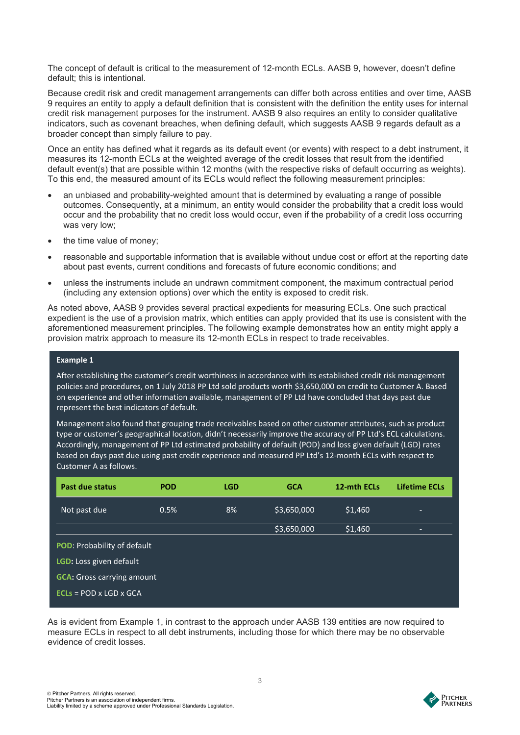The concept of default is critical to the measurement of 12-month ECLs. AASB 9, however, doesn't define default; this is intentional.

Because credit risk and credit management arrangements can differ both across entities and over time, AASB 9 requires an entity to apply a default definition that is consistent with the definition the entity uses for internal credit risk management purposes for the instrument. AASB 9 also requires an entity to consider qualitative indicators, such as covenant breaches, when defining default, which suggests AASB 9 regards default as a broader concept than simply failure to pay.

Once an entity has defined what it regards as its default event (or events) with respect to a debt instrument, it measures its 12-month ECLs at the weighted average of the credit losses that result from the identified default event(s) that are possible within 12 months (with the respective risks of default occurring as weights). To this end, the measured amount of its ECLs would reflect the following measurement principles:

- an unbiased and probability-weighted amount that is determined by evaluating a range of possible outcomes. Consequently, at a minimum, an entity would consider the probability that a credit loss would occur and the probability that no credit loss would occur, even if the probability of a credit loss occurring was very low;
- the time value of money;
- reasonable and supportable information that is available without undue cost or effort at the reporting date about past events, current conditions and forecasts of future economic conditions; and
- unless the instruments include an undrawn commitment component, the maximum contractual period (including any extension options) over which the entity is exposed to credit risk.

As noted above, AASB 9 provides several practical expedients for measuring ECLs. One such practical expedient is the use of a provision matrix, which entities can apply provided that its use is consistent with the aforementioned measurement principles. The following example demonstrates how an entity might apply a provision matrix approach to measure its 12-month ECLs in respect to trade receivables.

#### **Example 1**

After establishing the customer's credit worthiness in accordance with its established credit risk management policies and procedures, on 1 July 2018 PP Ltd sold products worth \$3,650,000 on credit to Customer A. Based on experience and other information available, management of PP Ltd have concluded that days past due represent the best indicators of default.

Management also found that grouping trade receivables based on other customer attributes, such as product type or customer's geographical location, didn't necessarily improve the accuracy of PP Ltd's ECL calculations. Accordingly, management of PP Ltd estimated probability of default (POD) and loss given default (LGD) rates based on days past due using past credit experience and measured PP Ltd's 12-month ECLs with respect to Customer A as follows.

| Past due status                    | <b>POD</b> | <b>LGD</b> | <b>GCA</b>  | 12-mth ECLs | <b>Lifetime ECLs</b> |
|------------------------------------|------------|------------|-------------|-------------|----------------------|
| Not past due                       | 0.5%       | 8%         | \$3,650,000 | \$1,460     |                      |
|                                    |            |            | \$3,650,000 | \$1,460     |                      |
| <b>POD: Probability of default</b> |            |            |             |             |                      |
| LGD: Loss given default            |            |            |             |             |                      |
| <b>GCA:</b> Gross carrying amount  |            |            |             |             |                      |
| $ECLs = POD \times LGD \times GCA$ |            |            |             |             |                      |

As is evident from Example 1, in contrast to the approach under AASB 139 entities are now required to measure ECLs in respect to all debt instruments, including those for which there may be no observable evidence of credit losses.

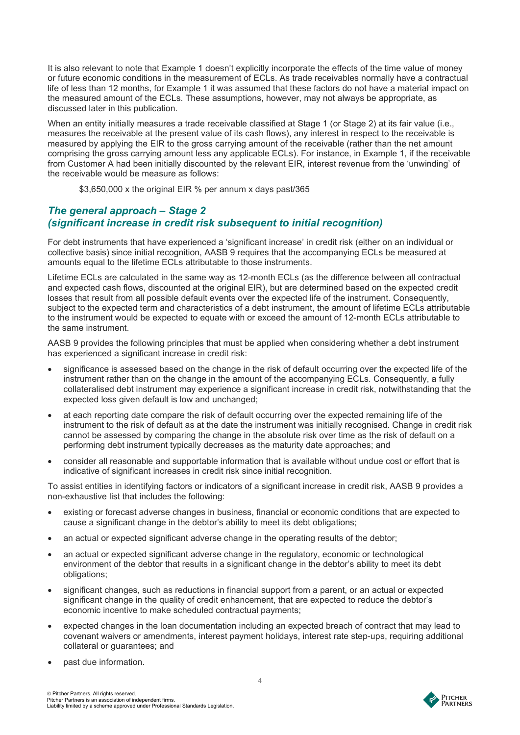It is also relevant to note that Example 1 doesn't explicitly incorporate the effects of the time value of money or future economic conditions in the measurement of ECLs. As trade receivables normally have a contractual life of less than 12 months, for Example 1 it was assumed that these factors do not have a material impact on the measured amount of the ECLs. These assumptions, however, may not always be appropriate, as discussed later in this publication.

When an entity initially measures a trade receivable classified at Stage 1 (or Stage 2) at its fair value (i.e., measures the receivable at the present value of its cash flows), any interest in respect to the receivable is measured by applying the EIR to the gross carrying amount of the receivable (rather than the net amount comprising the gross carrying amount less any applicable ECLs). For instance, in Example 1, if the receivable from Customer A had been initially discounted by the relevant EIR, interest revenue from the 'unwinding' of the receivable would be measure as follows:

\$3,650,000 x the original EIR % per annum x days past/365

#### *The general approach – Stage 2 (significant increase in credit risk subsequent to initial recognition)*

For debt instruments that have experienced a 'significant increase' in credit risk (either on an individual or collective basis) since initial recognition, AASB 9 requires that the accompanying ECLs be measured at amounts equal to the lifetime ECLs attributable to those instruments.

Lifetime ECLs are calculated in the same way as 12-month ECLs (as the difference between all contractual and expected cash flows, discounted at the original EIR), but are determined based on the expected credit losses that result from all possible default events over the expected life of the instrument. Consequently, subject to the expected term and characteristics of a debt instrument, the amount of lifetime ECLs attributable to the instrument would be expected to equate with or exceed the amount of 12-month ECLs attributable to the same instrument.

AASB 9 provides the following principles that must be applied when considering whether a debt instrument has experienced a significant increase in credit risk:

- significance is assessed based on the change in the risk of default occurring over the expected life of the instrument rather than on the change in the amount of the accompanying ECLs. Consequently, a fully collateralised debt instrument may experience a significant increase in credit risk, notwithstanding that the expected loss given default is low and unchanged;
- at each reporting date compare the risk of default occurring over the expected remaining life of the instrument to the risk of default as at the date the instrument was initially recognised. Change in credit risk cannot be assessed by comparing the change in the absolute risk over time as the risk of default on a performing debt instrument typically decreases as the maturity date approaches; and
- consider all reasonable and supportable information that is available without undue cost or effort that is indicative of significant increases in credit risk since initial recognition.

To assist entities in identifying factors or indicators of a significant increase in credit risk, AASB 9 provides a non-exhaustive list that includes the following:

- existing or forecast adverse changes in business, financial or economic conditions that are expected to cause a significant change in the debtor's ability to meet its debt obligations;
- an actual or expected significant adverse change in the operating results of the debtor;
- an actual or expected significant adverse change in the regulatory, economic or technological environment of the debtor that results in a significant change in the debtor's ability to meet its debt obligations;
- significant changes, such as reductions in financial support from a parent, or an actual or expected significant change in the quality of credit enhancement, that are expected to reduce the debtor's economic incentive to make scheduled contractual payments;
- expected changes in the loan documentation including an expected breach of contract that may lead to covenant waivers or amendments, interest payment holidays, interest rate step-ups, requiring additional collateral or guarantees; and
- past due information.

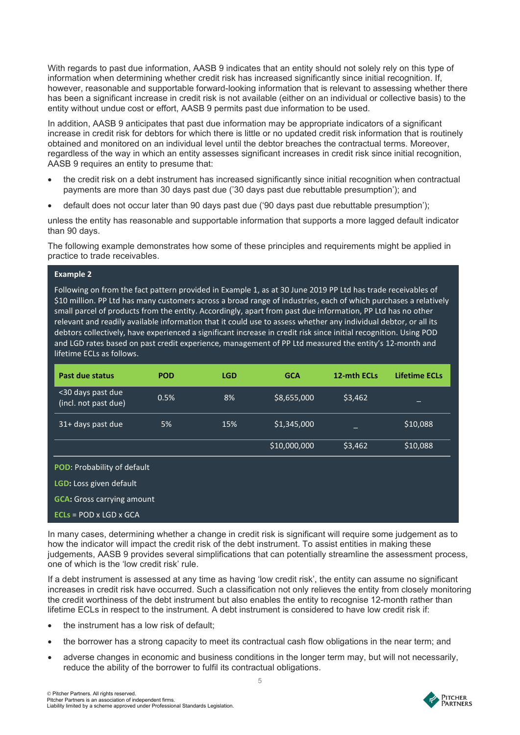With regards to past due information, AASB 9 indicates that an entity should not solely rely on this type of information when determining whether credit risk has increased significantly since initial recognition. If, however, reasonable and supportable forward-looking information that is relevant to assessing whether there has been a significant increase in credit risk is not available (either on an individual or collective basis) to the entity without undue cost or effort, AASB 9 permits past due information to be used.

In addition, AASB 9 anticipates that past due information may be appropriate indicators of a significant increase in credit risk for debtors for which there is little or no updated credit risk information that is routinely obtained and monitored on an individual level until the debtor breaches the contractual terms. Moreover, regardless of the way in which an entity assesses significant increases in credit risk since initial recognition, AASB 9 requires an entity to presume that:

- the credit risk on a debt instrument has increased significantly since initial recognition when contractual payments are more than 30 days past due ('30 days past due rebuttable presumption'); and
- default does not occur later than 90 days past due ('90 days past due rebuttable presumption');

unless the entity has reasonable and supportable information that supports a more lagged default indicator than 90 days.

The following example demonstrates how some of these principles and requirements might be applied in practice to trade receivables.

#### **Example 2**

Following on from the fact pattern provided in Example 1, as at 30 June 2019 PP Ltd has trade receivables of \$10 million. PP Ltd has many customers across a broad range of industries, each of which purchases a relatively small parcel of products from the entity. Accordingly, apart from past due information, PP Ltd has no other relevant and readily available information that it could use to assess whether any individual debtor, or all its debtors collectively, have experienced a significant increase in credit risk since initial recognition. Using POD and LGD rates based on past credit experience, management of PP Ltd measured the entity's 12-month and lifetime ECLs as follows.

| Past due status                           | <b>POD</b> | <b>LGD</b> | <b>GCA</b>   | 12-mth ECLs | Lifetime ECLs |
|-------------------------------------------|------------|------------|--------------|-------------|---------------|
| <30 days past due<br>(incl. not past due) | 0.5%       | 8%         | \$8,655,000  | \$3,462     | _             |
| 31+ days past due                         | 5%         | 15%        | \$1,345,000  |             | \$10,088      |
|                                           |            |            | \$10,000,000 | \$3,462     | \$10,088      |
| <b>POD: Probability of default</b>        |            |            |              |             |               |
| LGD: Loss given default                   |            |            |              |             |               |
| <b>GCA:</b> Gross carrying amount         |            |            |              |             |               |
| $ECLs = POD \times LGD \times GCA$        |            |            |              |             |               |

In many cases, determining whether a change in credit risk is significant will require some judgement as to how the indicator will impact the credit risk of the debt instrument. To assist entities in making these judgements, AASB 9 provides several simplifications that can potentially streamline the assessment process, one of which is the 'low credit risk' rule.

If a debt instrument is assessed at any time as having 'low credit risk', the entity can assume no significant increases in credit risk have occurred. Such a classification not only relieves the entity from closely monitoring the credit worthiness of the debt instrument but also enables the entity to recognise 12-month rather than lifetime ECLs in respect to the instrument. A debt instrument is considered to have low credit risk if:

- the instrument has a low risk of default:
- the borrower has a strong capacity to meet its contractual cash flow obligations in the near term; and
- adverse changes in economic and business conditions in the longer term may, but will not necessarily, reduce the ability of the borrower to fulfil its contractual obligations.



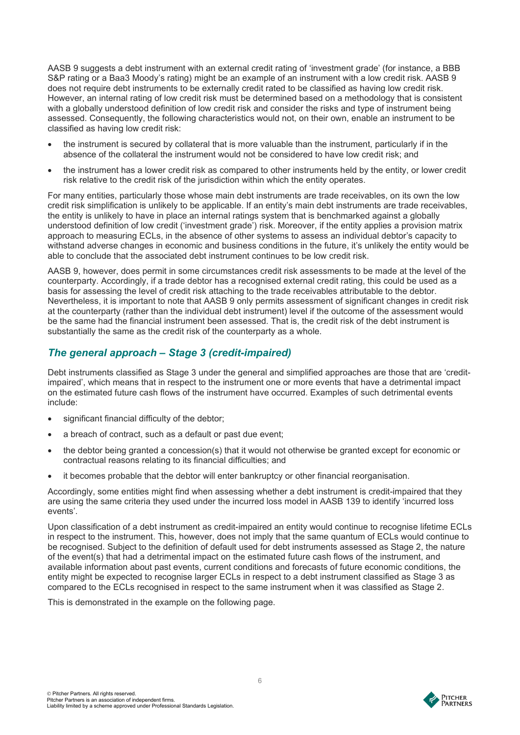AASB 9 suggests a debt instrument with an external credit rating of 'investment grade' (for instance, a BBB S&P rating or a Baa3 Moody's rating) might be an example of an instrument with a low credit risk. AASB 9 does not require debt instruments to be externally credit rated to be classified as having low credit risk. However, an internal rating of low credit risk must be determined based on a methodology that is consistent with a globally understood definition of low credit risk and consider the risks and type of instrument being assessed. Consequently, the following characteristics would not, on their own, enable an instrument to be classified as having low credit risk:

- the instrument is secured by collateral that is more valuable than the instrument, particularly if in the absence of the collateral the instrument would not be considered to have low credit risk; and
- the instrument has a lower credit risk as compared to other instruments held by the entity, or lower credit risk relative to the credit risk of the jurisdiction within which the entity operates.

For many entities, particularly those whose main debt instruments are trade receivables, on its own the low credit risk simplification is unlikely to be applicable. If an entity's main debt instruments are trade receivables, the entity is unlikely to have in place an internal ratings system that is benchmarked against a globally understood definition of low credit ('investment grade') risk. Moreover, if the entity applies a provision matrix approach to measuring ECLs, in the absence of other systems to assess an individual debtor's capacity to withstand adverse changes in economic and business conditions in the future, it's unlikely the entity would be able to conclude that the associated debt instrument continues to be low credit risk.

AASB 9, however, does permit in some circumstances credit risk assessments to be made at the level of the counterparty. Accordingly, if a trade debtor has a recognised external credit rating, this could be used as a basis for assessing the level of credit risk attaching to the trade receivables attributable to the debtor. Nevertheless, it is important to note that AASB 9 only permits assessment of significant changes in credit risk at the counterparty (rather than the individual debt instrument) level if the outcome of the assessment would be the same had the financial instrument been assessed. That is, the credit risk of the debt instrument is substantially the same as the credit risk of the counterparty as a whole.

#### *The general approach – Stage 3 (credit-impaired)*

Debt instruments classified as Stage 3 under the general and simplified approaches are those that are 'creditimpaired', which means that in respect to the instrument one or more events that have a detrimental impact on the estimated future cash flows of the instrument have occurred. Examples of such detrimental events include:

- significant financial difficulty of the debtor;
- a breach of contract, such as a default or past due event;
- the debtor being granted a concession(s) that it would not otherwise be granted except for economic or contractual reasons relating to its financial difficulties; and
- it becomes probable that the debtor will enter bankruptcy or other financial reorganisation.

Accordingly, some entities might find when assessing whether a debt instrument is credit-impaired that they are using the same criteria they used under the incurred loss model in AASB 139 to identify 'incurred loss events'.

Upon classification of a debt instrument as credit-impaired an entity would continue to recognise lifetime ECLs in respect to the instrument. This, however, does not imply that the same quantum of ECLs would continue to be recognised. Subject to the definition of default used for debt instruments assessed as Stage 2, the nature of the event(s) that had a detrimental impact on the estimated future cash flows of the instrument, and available information about past events, current conditions and forecasts of future economic conditions, the entity might be expected to recognise larger ECLs in respect to a debt instrument classified as Stage 3 as compared to the ECLs recognised in respect to the same instrument when it was classified as Stage 2.

This is demonstrated in the example on the following page.

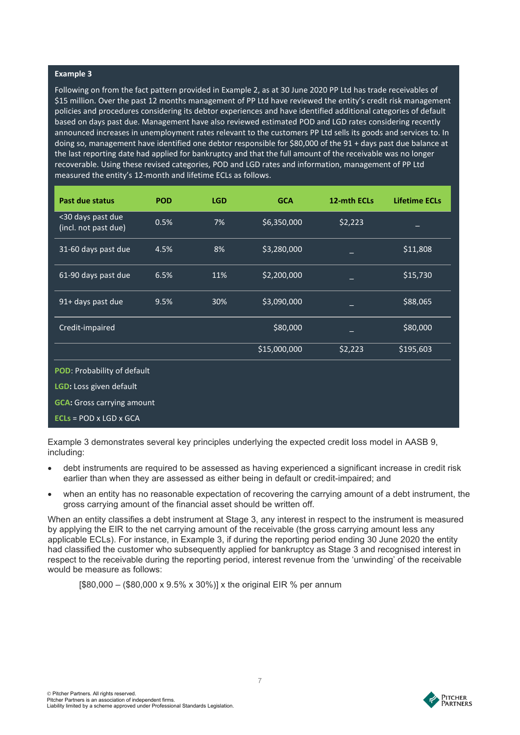#### **Example 3**

Following on from the fact pattern provided in Example 2, as at 30 June 2020 PP Ltd has trade receivables of \$15 million. Over the past 12 months management of PP Ltd have reviewed the entity's credit risk management policies and procedures considering its debtor experiences and have identified additional categories of default based on days past due. Management have also reviewed estimated POD and LGD rates considering recently announced increases in unemployment rates relevant to the customers PP Ltd sells its goods and services to. In doing so, management have identified one debtor responsible for \$80,000 of the 91 + days past due balance at the last reporting date had applied for bankruptcy and that the full amount of the receivable was no longer recoverable. Using these revised categories, POD and LGD rates and information, management of PP Ltd measured the entity's 12-month and lifetime ECLs as follows.

| <b>Past due status</b>                    | <b>POD</b> | <b>LGD</b> | <b>GCA</b>   | 12-mth ECLs | <b>Lifetime ECLs</b> |  |  |
|-------------------------------------------|------------|------------|--------------|-------------|----------------------|--|--|
| <30 days past due<br>(incl. not past due) | 0.5%       | 7%         | \$6,350,000  | \$2,223     |                      |  |  |
| 31-60 days past due                       | 4.5%       | 8%         | \$3,280,000  |             | \$11,808             |  |  |
| 61-90 days past due                       | 6.5%       | 11%        | \$2,200,000  |             | \$15,730             |  |  |
| 91+ days past due                         | 9.5%       | 30%        | \$3,090,000  |             | \$88,065             |  |  |
| Credit-impaired                           |            |            | \$80,000     |             | \$80,000             |  |  |
|                                           |            |            | \$15,000,000 | \$2,223     | \$195,603            |  |  |
| POD: Probability of default               |            |            |              |             |                      |  |  |
| LGD: Loss given default                   |            |            |              |             |                      |  |  |
| <b>GCA:</b> Gross carrying amount         |            |            |              |             |                      |  |  |
| $ECLs = POD \times LGD \times GCA$        |            |            |              |             |                      |  |  |

Example 3 demonstrates several key principles underlying the expected credit loss model in AASB 9, including:

- debt instruments are required to be assessed as having experienced a significant increase in credit risk earlier than when they are assessed as either being in default or credit-impaired; and
- when an entity has no reasonable expectation of recovering the carrying amount of a debt instrument, the gross carrying amount of the financial asset should be written off.

When an entity classifies a debt instrument at Stage 3, any interest in respect to the instrument is measured by applying the EIR to the net carrying amount of the receivable (the gross carrying amount less any applicable ECLs). For instance, in Example 3, if during the reporting period ending 30 June 2020 the entity had classified the customer who subsequently applied for bankruptcy as Stage 3 and recognised interest in respect to the receivable during the reporting period, interest revenue from the 'unwinding' of the receivable would be measure as follows:

 $[$80,000 - ($80,000 \times 9.5\% \times 30\%)]$  x the original EIR % per annum